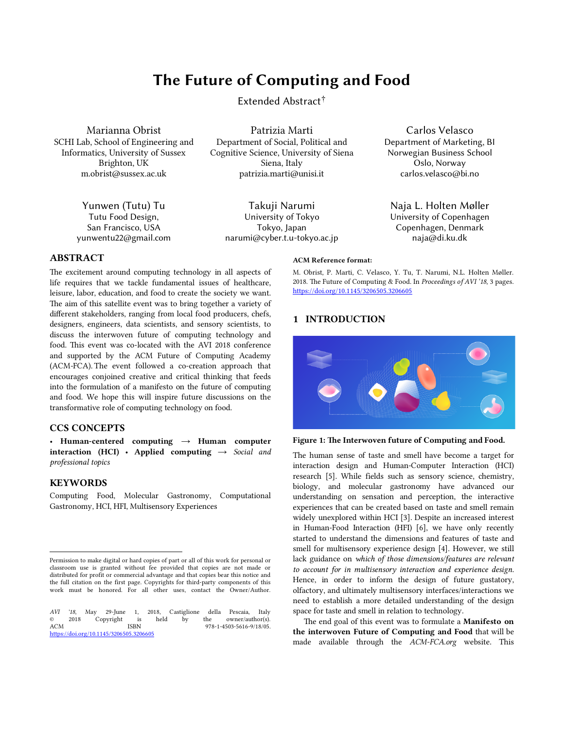# The Future of Computing and Food

Extended Abstract†

Marianna Obrist SCHI Lab, School of Engineering and Informatics, University of Sussex Brighton, UK m.obrist@sussex.ac.uk

Patrizia Marti Department of Social, Political and Cognitive Science, University of Siena Siena, Italy patrizia.marti@unisi.it

Yunwen (Tutu) Tu Tutu Food Design, San Francisco, USA yunwentu22@gmail.com

Takuji Narumi University of Tokyo Tokyo, Japan narumi@cyber.t.u-tokyo.ac.jp

## Carlos Velasco Department of Marketing, BI Norwegian Business School Oslo, Norway carlos.velasco@bi.no

Naja L. Holten Møller University of Copenhagen Copenhagen, Denmark naja@di.ku.dk

## ABSTRACT

The excitement around computing technology in all aspects of life requires that we tackle fundamental issues of healthcare, leisure, labor, education, and food to create the society we want. The aim of this satellite event was to bring together a variety of different stakeholders, ranging from local food producers, chefs, designers, engineers, data scientists, and sensory scientists, to discuss the interwoven future of computing technology and food. This event was co-located with the AVI 2018 conference and supported by the ACM Future of Computing Academy (ACM-FCA). The event followed a co-creation approach that encourages conjoined creative and critical thinking that feeds into the formulation of a manifesto on the future of computing and food. We hope this will inspire future discussions on the transformative role of computing technology on food.

#### CCS CONCEPTS

• Human-centered computing  $\rightarrow$  Human computer interaction (HCI) • Applied computing → *Social and professional topics*

## **KEYWORDS**

j

Computing Food, Molecular Gastronomy, Computational Gastronomy, HCI, HFI, Multisensory Experiences

#### ACM Reference format:

M. Obrist, P. Marti, C. Velasco, Y. Tu, T. Narumi, N.L. Holten Møller. 2018. The Future of Computing & Food. In *Proceedings of AVI* '18, 3 pages. https://doi.org/10.1145/3206505.3206605

## 1 INTRODUCTION



#### Figure 1: The Interwoven future of Computing and Food.

The human sense of taste and smell have become a target for interaction design and Human-Computer Interaction (HCI) research [5]. While fields such as sensory science, chemistry, biology, and molecular gastronomy have advanced our understanding on sensation and perception, the interactive experiences that can be created based on taste and smell remain widely unexplored within HCI [3]. Despite an increased interest in Human-Food Interaction (HFI) [6], we have only recently started to understand the dimensions and features of taste and smell for multisensory experience design [4]. However, we still lack guidance on *which of those dimensions/features are relevant to account for in multisensory interaction and experience design.*  Hence, in order to inform the design of future gustatory, olfactory, and ultimately multisensory interfaces/interactions we need to establish a more detailed understanding of the design space for taste and smell in relation to technology.

The end goal of this event was to formulate a Manifesto on the interwoven Future of Computing and Food that will be made available through the *ACM-FCA.org* website. This

Permission to make digital or hard copies of part or all of this work for personal or classroom use is granted without fee provided that copies are not made or distributed for profit or commercial advantage and that copies bear this notice and the full citation on the first page. Copyrights for third-party components of this work must be honored. For all other uses, contact the Owner/Author.

*AVI '18*, May 29-June 1, 2018, Castiglione della Pescaia, Italy © 2018 Copyright is held by the owner/author(s). 978-1-4503-5616-9/18/05. https://doi.org/10.1145/3206505.3206605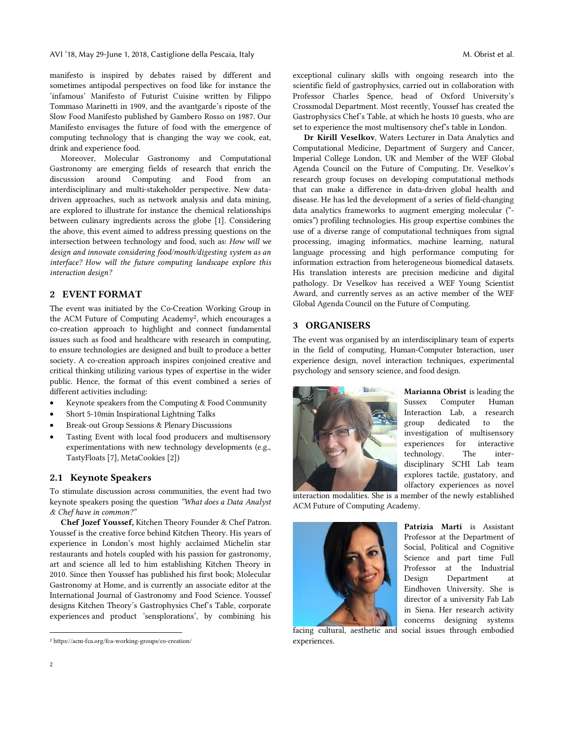### AVI '18, May 29-June 1, 2018, Castiglione della Pescaia, Italy M. Obrist et al.

manifesto is inspired by debates raised by different and sometimes antipodal perspectives on food like for instance the 'infamous' Manifesto of Futurist Cuisine written by Filippo Tommaso Marinetti in 1909, and the avantgarde's riposte of the Slow Food Manifesto published by Gambero Rosso on 1987. Our Manifesto envisages the future of food with the emergence of computing technology that is changing the way we cook, eat, drink and experience food.

Moreover, Molecular Gastronomy and Computational Gastronomy are emerging fields of research that enrich the discussion around Computing and Food from an interdisciplinary and multi-stakeholder perspective. New datadriven approaches, such as network analysis and data mining, are explored to illustrate for instance the chemical relationships between culinary ingredients across the globe [1]. Considering the above, this event aimed to address pressing questions on the intersection between technology and food, such as: *How will we design and innovate considering food/mouth/digesting system as an interface? How will the future computing landscape explore this interaction design?*

## 2 EVENT FORMAT

The event was initiated by the Co-Creation Working Group in the ACM Future of Computing Academy2, which encourages a co-creation approach to highlight and connect fundamental issues such as food and healthcare with research in computing, to ensure technologies are designed and built to produce a better society. A co-creation approach inspires conjoined creative and critical thinking utilizing various types of expertise in the wider public. Hence, the format of this event combined a series of different activities including:

- Keynote speakers from the Computing  $& Food Community$
- Short 5-10min Inspirational Lightning Talks
- Break-out Group Sessions & Plenary Discussions
- Tasting Event with local food producers and multisensory experimentations with new technology developments (e.g., TastyFloats [7], MetaCookies [2])

## 2.1 Keynote Speakers

To stimulate discussion across communities, the event had two keynote speakers posing the question *"What does a Data Analyst & Chef have in common?"*

Chef Jozef Youssef, Kitchen Theory Founder & Chef Patron. Youssef is the creative force behind Kitchen Theory. His years of experience in London's most highly acclaimed Michelin star restaurants and hotels coupled with his passion for gastronomy, art and science all led to him establishing Kitchen Theory in 2010. Since then Youssef has published his first book; Molecular Gastronomy at Home, and is currently an associate editor at the International Journal of Gastronomy and Food Science. Youssef designs Kitchen Theory's Gastrophysics Chef's Table, corporate experiences and product 'sensplorations', by combining his

exceptional culinary skills with ongoing research into the scientific field of gastrophysics, carried out in collaboration with Professor Charles Spence, head of Oxford University's Crossmodal Department. Most recently, Youssef has created the Gastrophysics Chef's Table, at which he hosts 10 guests, who are set to experience the most multisensory chef's table in London.

Dr Kirill Veselkov, Waters Lecturer in Data Analytics and Computational Medicine, Department of Surgery and Cancer, Imperial College London, UK and Member of the WEF Global Agenda Council on the Future of Computing. Dr. Veselkov's research group focuses on developing computational methods that can make a difference in data-driven global health and disease. He has led the development of a series of field-changing data analytics frameworks to augment emerging molecular (" omics") profiling technologies. His group expertise combines the use of a diverse range of computational techniques from signal processing, imaging informatics, machine learning, natural language processing and high performance computing for information extraction from heterogeneous biomedical datasets. His translation interests are precision medicine and digital pathology. Dr Veselkov has received a WEF Young Scientist Award, and currently serves as an active member of the WEF Global Agenda Council on the Future of Computing.

## 3 ORGANISERS

The event was organised by an interdisciplinary team of experts in the field of computing, Human-Computer Interaction, user experience design, novel interaction techniques, experimental psychology and sensory science, and food design.



Marianna Obrist is leading the Sussex Computer Human Interaction Lab, a research group dedicated to the investigation of multisensory experiences for interactive technology. The interdisciplinary SCHI Lab team explores tactile, gustatory, and olfactory experiences as novel

interaction modalities. She is a member of the newly established ACM Future of Computing Academy.



facing cultural, aesthetic and social issues through embodied experiences.

Patrizia Marti is Assistant Professor at the Department of Social, Political and Cognitive Science and part time Full Professor at the Industrial Design Department at Eindhoven University. She is director of a university Fab Lab in Siena. Her research activity concerns designing systems

 <sup>2</sup> https://acm-fca.org/fca-working-groups/co-creation/